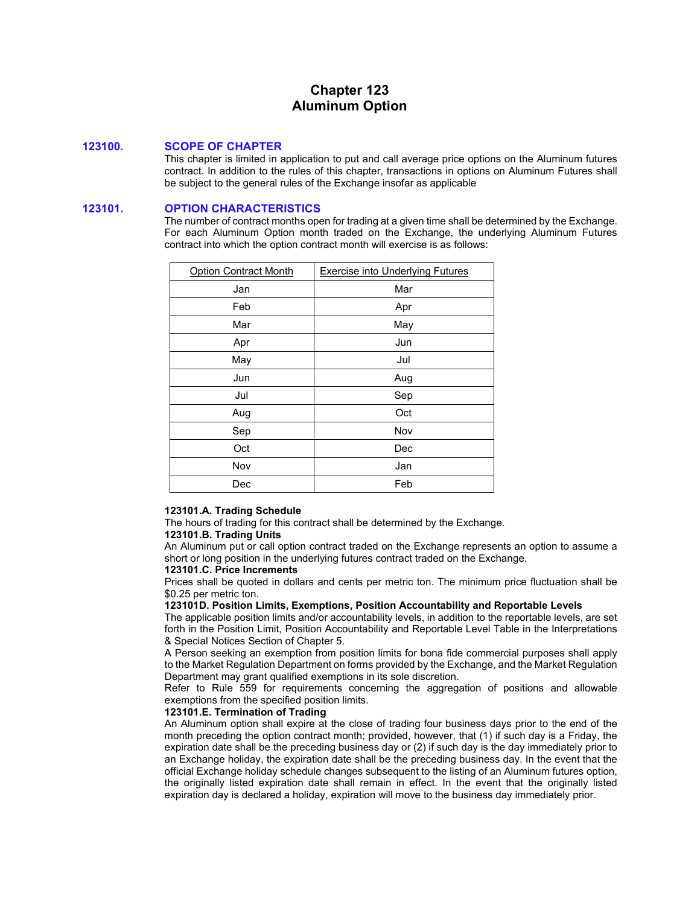# **Chapter 123 Aluminum Option**

# **123100. SCOPE OF CHAPTER**

This chapter is limited in application to put and call average price options on the Aluminum futures contract. In addition to the rules of this chapter, transactions in options on Aluminum Futures shall be subject to the general rules of the Exchange insofar as applicable

# **123101. OPTION CHARACTERISTICS**

The number of contract months open for trading at a given time shall be determined by the Exchange. For each Aluminum Option month traded on the Exchange, the underlying Aluminum Futures contract into which the option contract month will exercise is as follows:

| <b>Option Contract Month</b> | <b>Exercise into Underlying Futures</b> |
|------------------------------|-----------------------------------------|
| Jan                          | Mar                                     |
| Feb                          | Apr                                     |
| Mar                          | May                                     |
| Apr                          | Jun                                     |
| May                          | Jul                                     |
| Jun                          | Aug                                     |
| Jul                          | Sep                                     |
| Aug                          | Oct                                     |
| Sep                          | Nov                                     |
| Oct                          | Dec                                     |
| Nov                          | Jan                                     |
| Dec                          | Feb                                     |

### **123101.A. Trading Schedule**

The hours of trading for this contract shall be determined by the Exchange.

### **123101.B. Trading Units**

An Aluminum put or call option contract traded on the Exchange represents an option to assume a short or long position in the underlying futures contract traded on the Exchange.

### **123101.C. Price Increments**

Prices shall be quoted in dollars and cents per metric ton. The minimum price fluctuation shall be \$0.25 per metric ton.

#### **123101D. Position Limits, Exemptions, Position Accountability and Reportable Levels**

The applicable position limits and/or accountability levels, in addition to the reportable levels, are set forth in the Position Limit, Position Accountability and Reportable Level Table in the Interpretations & Special Notices Section of Chapter 5.

A Person seeking an exemption from position limits for bona fide commercial purposes shall apply to the Market Regulation Department on forms provided by the Exchange, and the Market Regulation Department may grant qualified exemptions in its sole discretion.

Refer to Rule 559 for requirements concerning the aggregation of positions and allowable exemptions from the specified position limits.

### **123101.E. Termination of Trading**

An Aluminum option shall expire at the close of trading four business days prior to the end of the month preceding the option contract month; provided, however, that (1) if such day is a Friday, the expiration date shall be the preceding business day or (2) if such day is the day immediately prior to an Exchange holiday, the expiration date shall be the preceding business day. In the event that the official Exchange holiday schedule changes subsequent to the listing of an Aluminum futures option, the originally listed expiration date shall remain in effect. In the event that the originally listed expiration day is declared a holiday, expiration will move to the business day immediately prior.